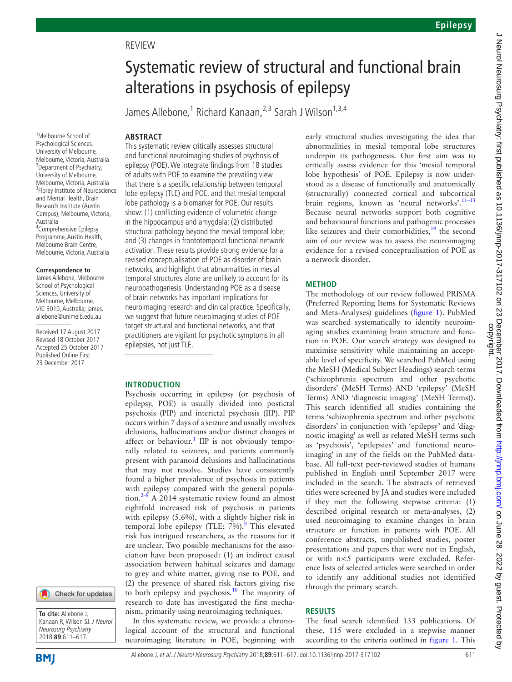# Systematic review of structural and functional brain alterations in psychosis of epilepsy

James Allebone,<sup>1</sup> Richard Kanaan,<sup>2,3</sup> Sarah J Wilson<sup>1,3,4</sup>

# **ABSTRACT**

1 Melbourne School of Psychological Sciences, University of Melbourne, Melbourne, Victoria, Australia <sup>2</sup> Department of Psychiatry, University of Melbourne, Melbourne, Victoria, Australia <sup>3</sup> <sup>3</sup>Florey Institute of Neuroscience and Mental Health, Brain Research Institute (Austin Campus), Melbourne, Victoria, Australia 4 Comprehensive Epilepsy Programme, Austin Health, Melbourne Brain Centre, Melbourne, Victoria, Australia

#### **Correspondence to**

James Allebone, Melbourne School of Psychological Sciences, University of Melbourne, Melbourne, VIC 3010, Australia; james. allebone@unimelb.edu.au

Received 17 August 2017 Revised 18 October 2017 Accepted 25 October 2017 Published Online First 23 December 2017



**To cite:** Allebone J, Kanaan R, Wilson SJ. J Neurol Neurosurg Psychiatry 2018;**89**:611–617.

**BMI** 

This systematic review critically assesses structural and functional neuroimaging studies of psychosis of epilepsy (POE). We integrate findings from 18 studies of adults with POE to examine the prevailing view that there is a specific relationship between temporal lobe epilepsy (TLE) and POE, and that mesial temporal lobe pathology is a biomarker for POE. Our results show: (1) conflicting evidence of volumetric change in the hippocampus and amygdala; (2) distributed structural pathology beyond the mesial temporal lobe; and (3) changes in frontotemporal functional network activation. These results provide strong evidence for a revised conceptualisation of POE as disorder of brain networks, and highlight that abnormalities in mesial temporal structures alone are unlikely to account for its neuropathogenesis. Understanding POE as a disease of brain networks has important implications for neuroimaging research and clinical practice. Specifically, we suggest that future neuroimaging studies of POE target structural and functional networks, and that practitioners are vigilant for psychotic symptoms in all epilepsies, not just TLE.

### **Introduction**

Psychosis occurring in epilepsy (or psychosis of epilepsy, POE) is usually divided into postictal psychosis (PIP) and interictal psychosis (IIP). PIP occurs within 7 days of a seizure and usually involves delusions, hallucinations and/or distinct changes in affect or behaviour.<sup>1</sup> IIP is not obviously temporally related to seizures, and patients commonly present with paranoid delusions and hallucinations that may not resolve. Studies have consistently found a higher prevalence of psychosis in patients with epilepsy compared with the general population. $2-8$  A 2014 systematic review found an almost eightfold increased risk of psychosis in patients with epilepsy (5.6%), with a slightly higher risk in temporal lobe epilepsy (TLE;  $7\%$ ). This elevated risk has intrigued researchers, as the reasons for it are unclear. Two possible mechanisms for the association have been proposed: (1) an indirect causal association between habitual seizures and damage to grey and white matter, giving rise to POE, and (2) the presence of shared risk factors giving rise to both epilepsy and psychosis.[10](#page-5-3) The majority of research to date has investigated the first mechanism, primarily using neuroimaging techniques.

In this systematic review, we provide a chronological account of the structural and functional neuroimaging literature in POE, beginning with early structural studies investigating the idea that abnormalities in mesial temporal lobe structures underpin its pathogenesis. Our first aim was to critically assess evidence for this 'mesial temporal lobe hypothesis' of POE. Epilepsy is now understood as a disease of functionally and anatomically (structurally) connected cortical and subcortical brain regions, known as 'neural networks'.<sup>11-13</sup> Because neural networks support both cognitive and behavioural functions and pathogenic processes like seizures and their comorbidities,<sup>14</sup> the second aim of our review was to assess the neuroimaging evidence for a revised conceptualisation of POE as a network disorder.

# **Method**

The methodology of our review followed PRISMA (Preferred Reporting Items for Systematic Reviews and Meta-Analyses) guidelines ([figure](#page-1-0) 1). PubMed was searched systematically to identify neuroimaging studies examining brain structure and function in POE. Our search strategy was designed to maximise sensitivity while maintaining an acceptable level of specificity. We searched PubMed using the MeSH (Medical Subject Headings) search terms ('schizophrenia spectrum and other psychotic disorders' (MeSH Terms) AND 'epilepsy' (MeSH Terms) AND 'diagnostic imaging' (MeSH Terms)). This search identified all studies containing the terms 'schizophrenia spectrum and other psychotic disorders' in conjunction with 'epilepsy' and 'diagnostic imaging' as well as related MeSH terms such as 'psychosis', 'epilepsies' and 'functional neuroimaging' in any of the fields on the PubMed database. All full-text peer-reviewed studies of humans published in English until September 2017 were included in the search. The abstracts of retrieved titles were screened by JA and studies were included if they met the following stepwise criteria: (1) described original research or meta-analyses, (2) used neuroimaging to examine changes in brain structure or function in patients with POE. All conference abstracts, unpublished studies, poster presentations and papers that were not in English, or with n<5 participants were excluded. Reference lists of selected articles were searched in order to identify any additional studies not identified through the primary search.

# **Results**

The final search identified 133 publications. Of these, 115 were excluded in a stepwise manner according to the criteria outlined in [figure](#page-1-0) 1. This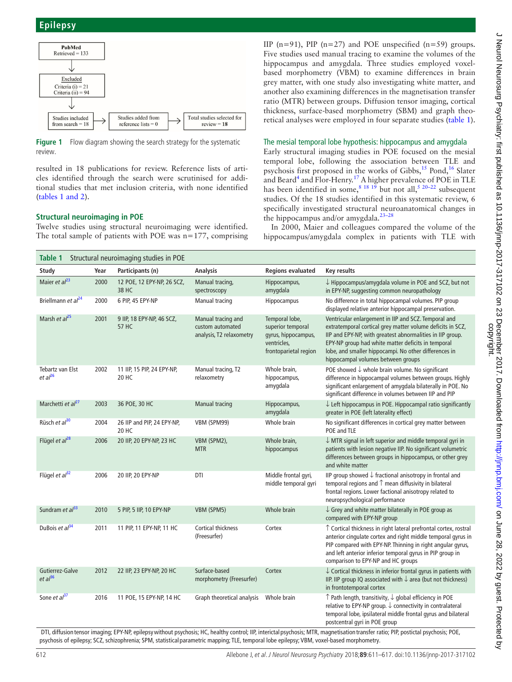

<span id="page-1-0"></span>**Figure 1** Flow diagram showing the search strategy for the systematic review.

resulted in 18 publications for review. Reference lists of articles identified through the search were scrutinised for additional studies that met inclusion criteria, with none identified (tables [1 and 2\)](#page-1-1).

# **Structural neuroimaging in POE**

Twelve studies using structural neuroimaging were identified. The total sample of patients with POE was  $n=177$ , comprising

IIP ( $n=91$ ), PIP ( $n=27$ ) and POE unspecified ( $n=59$ ) groups. Five studies used manual tracing to examine the volumes of the hippocampus and amygdala. Three studies employed voxelbased morphometry (VBM) to examine differences in brain grey matter, with one study also investigating white matter, and another also examining differences in the magnetisation transfer ratio (MTR) between groups. Diffusion tensor imaging, cortical thickness, surface-based morphometry (SBM) and graph theoretical analyses were employed in four separate studies ([table](#page-1-1) 1).

# The mesial temporal lobe hypothesis: hippocampus and amygdala

Early structural imaging studies in POE focused on the mesial temporal lobe, following the association between TLE and psychosis first proposed in the works of Gibbs,<sup>15</sup> Pond,<sup>16</sup> Slater and Beard<sup>[4](#page-5-8)</sup> and Flor-Henry.<sup>17</sup> A higher prevalence of POE in TLE has been identified in some,  $8^{18}$  19 but not all,  $5^{20-22}$  subsequent studies. Of the 18 studies identified in this systematic review, 6 specifically investigated structural neuroanatomical changes in the hippocampus and/or amygdala. $23-28$ 

In 2000, Maier and colleagues compared the volume of the hippocampus/amygdala complex in patients with TLE with

<span id="page-1-1"></span>

| <b>Table 1</b><br>Structural neuroimaging studies in POE |      |                                           |                                                                    |                                                                                                    |                                                                                                                                                                                                                                                                                                                                      |  |  |
|----------------------------------------------------------|------|-------------------------------------------|--------------------------------------------------------------------|----------------------------------------------------------------------------------------------------|--------------------------------------------------------------------------------------------------------------------------------------------------------------------------------------------------------------------------------------------------------------------------------------------------------------------------------------|--|--|
| Study                                                    | Year | Participants (n)                          | Analysis                                                           | <b>Regions evaluated</b>                                                                           | <b>Key results</b>                                                                                                                                                                                                                                                                                                                   |  |  |
| Maier et $al23$                                          | 2000 | 12 POE, 12 EPY-NP, 26 SCZ,<br>38 HC       | Manual tracing,<br>spectroscopy                                    | Hippocampus,<br>amygdala                                                                           | $\downarrow$ Hippocampus/amygdala volume in POE and SCZ, but not<br>in EPY-NP, suggesting common neuropathology                                                                                                                                                                                                                      |  |  |
| Briellmann et al <sup>24</sup>                           | 2000 | 6 PIP, 45 EPY-NP                          | Manual tracing                                                     | Hippocampus                                                                                        | No difference in total hippocampal volumes. PIP group<br>displayed relative anterior hippocampal preservation.                                                                                                                                                                                                                       |  |  |
| Marsh et $al^{25}$                                       | 2001 | 9 IIP, 18 EPY-NP, 46 SCZ,<br><b>57 HC</b> | Manual tracing and<br>custom automated<br>analysis, T2 relaxometry | Temporal lobe,<br>superior temporal<br>gyrus, hippocampus,<br>ventricles,<br>frontoparietal region | Ventricular enlargement in IIP and SCZ. Temporal and<br>extratemporal cortical grey matter volume deficits in SCZ,<br>IIP and EPY-NP, with greatest abnormalities in IIP group.<br>EPY-NP group had white matter deficits in temporal<br>lobe, and smaller hippocampi. No other differences in<br>hippocampal volumes between groups |  |  |
| Tebartz van Elst<br>et al <sup>26</sup>                  | 2002 | 11 IIP, 15 PIP, 24 EPY-NP,<br>20 HC       | Manual tracing, T2<br>relaxometry                                  | Whole brain,<br>hippocampus,<br>amygdala                                                           | POE showed $\downarrow$ whole brain volume. No significant<br>difference in hippocampal volumes between groups. Highly<br>significant enlargement of amygdala bilaterally in POE. No<br>significant difference in volumes between IIP and PIP                                                                                        |  |  |
| Marchetti et al <sup>27</sup>                            | 2003 | 36 POE, 30 HC                             | <b>Manual tracing</b>                                              | Hippocampus,<br>amygdala                                                                           | $\downarrow$ Left hippocampus in POE. Hippocampal ratio significantly<br>greater in POE (left laterality effect)                                                                                                                                                                                                                     |  |  |
| Rüsch et al <sup>30</sup>                                | 2004 | 26 IIP and PIP, 24 EPY-NP,<br>20 HC       | VBM (SPM99)                                                        | Whole brain                                                                                        | No significant differences in cortical grey matter between<br>POE and TLE                                                                                                                                                                                                                                                            |  |  |
| Flügel et $al^{28}$                                      | 2006 | 20 IIP, 20 EPY-NP, 23 HC                  | VBM (SPM2),<br><b>MTR</b>                                          | Whole brain,<br>hippocampus                                                                        | $\downarrow$ MTR signal in left superior and middle temporal gyri in<br>patients with lesion negative IIP. No significant volumetric<br>differences between groups in hippocampus, or other grey<br>and white matter                                                                                                                 |  |  |
| Flügel et $a^{32}$                                       | 2006 | 20 IIP, 20 EPY-NP                         | DTI                                                                | Middle frontal gyri,<br>middle temporal qyri                                                       | IIP group showed $\downarrow$ fractional anisotropy in frontal and<br>temporal regions and $\uparrow$ mean diffusivity in bilateral<br>frontal regions. Lower factional anisotropy related to<br>neuropsychological performance                                                                                                      |  |  |
| Sundram et $al^{33}$                                     | 2010 | 5 PIP, 5 IIP, 10 EPY-NP                   | VBM (SPM5)                                                         | Whole brain                                                                                        | $\downarrow$ Grey and white matter bilaterally in POE group as<br>compared with EPY-NP group                                                                                                                                                                                                                                         |  |  |
| DuBois et al <sup>34</sup>                               | 2011 | 11 PIP, 11 EPY-NP, 11 HC                  | Cortical thickness<br>(Freesurfer)                                 | Cortex                                                                                             | ↑ Cortical thickness in right lateral prefrontal cortex, rostral<br>anterior cinqulate cortex and right middle temporal gyrus in<br>PIP compared with EPY-NP. Thinning in right angular gyrus,<br>and left anterior inferior temporal gyrus in PIP group in<br>comparison to EPY-NP and HC groups                                    |  |  |
| Gutierrez-Galve<br>et al <sup>36</sup>                   | 2012 | 22 IIP, 23 EPY-NP, 20 HC                  | Surface-based<br>morphometry (Freesurfer)                          | Cortex                                                                                             | $\downarrow$ Cortical thickness in inferior frontal gyrus in patients with<br>IIP. IIP group IQ associated with $\downarrow$ area (but not thickness)<br>in frontotemporal cortex                                                                                                                                                    |  |  |
| Sone et al <sup>37</sup>                                 | 2016 | 11 POE, 15 EPY-NP, 14 HC                  | Graph theoretical analysis                                         | Whole brain                                                                                        | $\uparrow$ Path length, transitivity, $\downarrow$ global efficiency in POE<br>relative to EPY-NP group. $\downarrow$ connectivity in contralateral<br>temporal lobe, ipsilateral middle frontal gyrus and bilateral<br>postcentral gyri in POE group                                                                                |  |  |

 DTI, diffusion tensor imaging; EPY-NP, epilepsywithout psychosis; HC, healthy control; IIP, interictal psychosis; MTR, magnetisation transfer ratio; PIP, postictal psychosis; POE, psychosis of epilepsy; SCZ, schizophrenia; SPM, statistical parametric mapping; TLE, temporal lobe epilepsy; VBM, voxel-based morphometry.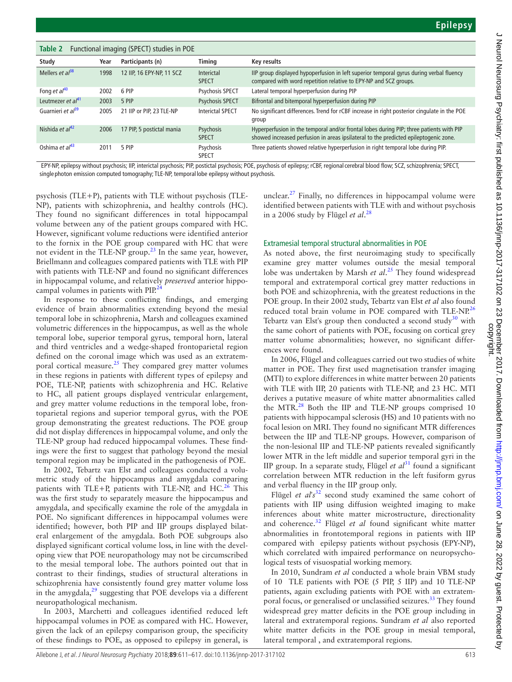<span id="page-2-0"></span>

| Functional imaging (SPECT) studies in POE<br>Table 2 |      |                           |                            |                                                                                                                                                                                 |  |  |  |
|------------------------------------------------------|------|---------------------------|----------------------------|---------------------------------------------------------------------------------------------------------------------------------------------------------------------------------|--|--|--|
| Study                                                | Year | Participants (n)          | Timing                     | <b>Key results</b>                                                                                                                                                              |  |  |  |
| Mellers <i>et</i> $a^{38}$                           | 1998 | 12 IIP. 16 EPY-NP. 11 SCZ | Interictal<br><b>SPECT</b> | IIP group displayed hypoperfusion in left superior temporal gyrus during verbal fluency<br>compared with word repetition relative to EPY-NP and SCZ groups.                     |  |  |  |
| Fong et $al^{40}$                                    | 2002 | 6 PIP                     | <b>Psychosis SPECT</b>     | Lateral temporal hyperperfusion during PIP                                                                                                                                      |  |  |  |
| Leutmezer et $a^{41}$                                | 2003 | 5 PIP                     | <b>Psychosis SPECT</b>     | Bifrontal and bitemporal hyperperfusion during PIP                                                                                                                              |  |  |  |
| Guarnieri et al <sup>39</sup>                        | 2005 | 21 IIP or PIP, 23 TLE-NP  | <b>Interictal SPECT</b>    | No significant differences. Trend for rCBF increase in right posterior cingulate in the POE<br>group                                                                            |  |  |  |
| Nishida et $a^{42}$                                  | 2006 | 17 PIP, 5 postictal mania | Psychosis<br><b>SPECT</b>  | Hyperperfusion in the temporal and/or frontal lobes during PIP; three patients with PIP<br>showed increased perfusion in areas ipsilateral to the predicted epileptogenic zone. |  |  |  |
| Oshima et al <sup>43</sup>                           | 2011 | 5 PIP                     | Psychosis<br><b>SPECT</b>  | Three patients showed relative hyperperfusion in right temporal lobe during PIP.                                                                                                |  |  |  |

 EPY-NP, epilepsy without psychosis; IIP, interictal psychosis; PIP, postictal psychosis; POE, psychosis of epilepsy; rCBF, regionalcerebral blood flow; SCZ, schizophrenia; SPECT, single photon emission computed tomography; TLE-NP, temporal lobe epilepsy without psychosis.

psychosis (TLE+P), patients with TLE without psychosis (TLE-NP), patients with schizophrenia, and healthy controls (HC). They found no significant differences in total hippocampal volume between any of the patient groups compared with HC. However, significant volume reductions were identified anterior to the fornix in the POE group compared with HC that were not evident in the TLE-NP group. $^{23}$  $^{23}$  $^{23}$  In the same year, however, Briellmann and colleagues compared patients with TLE with PIP with patients with TLE-NP and found no significant differences in hippocampal volume, and relatively *preserved* anterior hippocampal volumes in patients with  $PIP<sup>2</sup>$ 

In response to these conflicting findings, and emerging evidence of brain abnormalities extending beyond the mesial temporal lobe in schizophrenia, Marsh and colleagues examined volumetric differences in the hippocampus, as well as the whole temporal lobe, superior temporal gyrus, temporal horn, lateral and third ventricles and a wedge-shaped frontoparietal region defined on the coronal image which was used as an extratemporal cortical measure.<sup>25</sup> They compared grey matter volumes in these regions in patients with different types of epilepsy and POE, TLE-NP, patients with schizophrenia and HC. Relative to HC, all patient groups displayed ventricular enlargement, and grey matter volume reductions in the temporal lobe, frontoparietal regions and superior temporal gyrus, with the POE group demonstrating the greatest reductions. The POE group did not display differences in hippocampal volume, and only the TLE-NP group had reduced hippocampal volumes. These findings were the first to suggest that pathology beyond the mesial temporal region may be implicated in the pathogenesis of POE.

In 2002, Tebartz van Elst and colleagues conducted a volumetric study of the hippocampus and amygdala comparing patients with TLE+P, patients with TLE-NP, and HC.<sup>[26](#page-6-3)</sup> This was the first study to separately measure the hippocampus and amygdala, and specifically examine the role of the amygdala in POE. No significant differences in hippocampal volumes were identified; however, both PIP and IIP groups displayed bilateral enlargement of the amygdala. Both POE subgroups also displayed significant cortical volume loss, in line with the developing view that POE neuropathology may not be circumscribed to the mesial temporal lobe. The authors pointed out that in contrast to their findings, studies of structural alterations in schizophrenia have consistently found grey matter volume loss in the amygdala, $^{29}$  suggesting that POE develops via a different neuropathological mechanism.

In 2003, Marchetti and colleagues identified reduced left hippocampal volumes in POE as compared with HC. However, given the lack of an epilepsy comparison group, the specificity of these findings to POE, as opposed to epilepsy in general, is

unclear. $27$  Finally, no differences in hippocampal volume were identified between patients with TLE with and without psychosis in a 2006 study by Flügel *et al*. [28](#page-6-6)

# Extramesial temporal structural abnormalities in POE

As noted above, the first neuroimaging study to specifically examine grey matter volumes outside the mesial temporal lobe was undertaken by Marsh *et al*. [25](#page-6-2) They found widespread temporal and extratemporal cortical grey matter reductions in both POE and schizophrenia, with the greatest reductions in the POE group. In their 2002 study, Tebartz van Elst *et al* also found reduced total brain volume in POE compared with TLE-NP.<sup>[26](#page-6-3)</sup> Tebartz van Elst's group then conducted a second study<sup>30</sup> with the same cohort of patients with POE, focusing on cortical grey matter volume abnormalities; however, no significant differences were found.

In 2006, Flügel and colleagues carried out two studies of white matter in POE. They first used magnetisation transfer imaging (MTI) to explore differences in white matter between 20 patients with TLE with IIP, 20 patients with TLE-NP, and 23 HC. MTI derives a putative measure of white matter abnormalities called the MTR. $^{28}$  Both the IIP and TLE-NP groups comprised 10 patients with hippocampal sclerosis (HS) and 10 patients with no focal lesion on MRI. They found no significant MTR differences between the IIP and TLE-NP groups. However, comparison of the non-lesional IIP and TLE-NP patients revealed significantly lower MTR in the left middle and superior temporal gyri in the IIP group. In a separate study, Flügel *et al*<sup>31</sup> found a significant correlation between MTR reduction in the left fusiform gyrus and verbal fluency in the IIP group only.

Flügel *et al's*<sup>32</sup> second study examined the same cohort of patients with IIP using diffusion weighted imaging to make inferences about white matter microstructure, directionality and coherence[.32](#page-6-7) Flügel *et al* found significant white matter abnormalities in frontotemporal regions in patients with IIP compared with epilepsy patients without psychosis (EPY-NP), which correlated with impaired performance on neuropsychological tests of visuospatial working memory.

In 2010, Sundram *et al* conducted a whole brain VBM study of 10 TLE patients with POE (5 PIP, 5 IIP) and 10 TLE-NP patients, again excluding patients with POE with an extratem-poral focus, or generalised or unclassified seizures.<sup>[33](#page-6-8)</sup> They found widespread grey matter deficits in the POE group including in lateral and extratemporal regions. Sundram *et al* also reported white matter deficits in the POE group in mesial temporal, lateral temporal , and extratemporal regions.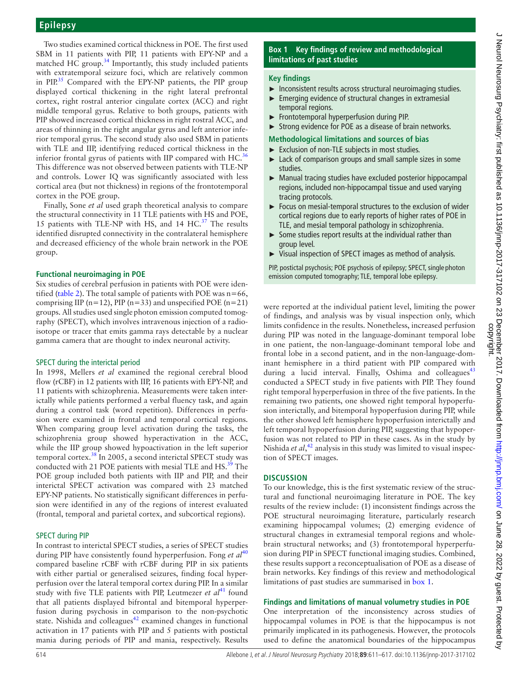# **Epilepsy**

Two studies examined cortical thickness in POE. The first used SBM in 11 patients with PIP, 11 patients with EPY-NP and a matched HC group.<sup>[34](#page-6-9)</sup> Importantly, this study included patients with extratemporal seizure foci, which are relatively common in PIP.<sup>[35](#page-6-20)</sup> Compared with the EPY-NP patients, the PIP group displayed cortical thickening in the right lateral prefrontal cortex, right rostral anterior cingulate cortex (ACC) and right middle temporal gyrus. Relative to both groups, patients with PIP showed increased cortical thickness in right rostral ACC, and areas of thinning in the right angular gyrus and left anterior inferior temporal gyrus. The second study also used SBM in patients with TLE and IIP, identifying reduced cortical thickness in the inferior frontal gyrus of patients with IIP compared with HC. $36$ This difference was not observed between patients with TLE-NP and controls. Lower IQ was significantly associated with less cortical area (but not thickness) in regions of the frontotemporal cortex in the POE group.

Finally, Sone *et al* used graph theoretical analysis to compare the structural connectivity in 11 TLE patients with HS and POE, 15 patients with TLE-NP with HS, and  $14 \text{ HC}^{37}$  $14 \text{ HC}^{37}$  $14 \text{ HC}^{37}$  The results identified disrupted connectivity in the contralateral hemisphere and decreased efficiency of the whole brain network in the POE group.

#### **Functional neuroimaging in POE**

Six studies of cerebral perfusion in patients with POE were iden-tified [\(table](#page-2-0) 2). The total sample of patients with POE was  $n=66$ , comprising IIP ( $n=12$ ), PIP ( $n=33$ ) and unspecified POE ( $n=21$ ) groups. All studies used single photon emission computed tomography (SPECT), which involves intravenous injection of a radioisotope or tracer that emits gamma rays detectable by a nuclear gamma camera that are thought to index neuronal activity.

#### SPECT during the interictal period

In 1998, Mellers *et al* examined the regional cerebral blood flow (rCBF) in 12 patients with IIP, 16 patients with EPY-NP, and 11 patients with schizophrenia. Measurements were taken interictally while patients performed a verbal fluency task, and again during a control task (word repetition). Differences in perfusion were examined in frontal and temporal cortical regions. When comparing group level activation during the tasks, the schizophrenia group showed hyperactivation in the ACC, while the IIP group showed hypoactivation in the left superior temporal cortex. $38$  In 2005, a second interictal SPECT study was conducted with 21 POE patients with mesial TLE and HS.<sup>[39](#page-6-17)</sup> The POE group included both patients with IIP and PIP, and their interictal SPECT activation was compared with 23 matched EPY-NP patients. No statistically significant differences in perfusion were identified in any of the regions of interest evaluated (frontal, temporal and parietal cortex, and subcortical regions).

#### SPECT during PIP

In contrast to interictal SPECT studies, a series of SPECT studies during PIP have consistently found hyperperfusion. Fong *et al*<sup>[40](#page-6-15)</sup> compared baseline rCBF with rCBF during PIP in six patients with either partial or generalised seizures, finding focal hyperperfusion over the lateral temporal cortex during PIP. In a similar study with five TLE patients with PIP, Leutmezer *et al*<sup>[41](#page-6-16)</sup> found that all patients displayed bifrontal and bitemporal hyperperfusion during psychosis in comparison to the non-psychotic state. Nishida and colleagues $42$  examined changes in functional activation in 17 patients with PIP and 5 patients with postictal mania during periods of PIP and mania, respectively. Results

# **Box 1 Key findings of review and methodological limitations of past studies**

#### <span id="page-3-0"></span>**Key findings**

- ► Inconsistent results across structural neuroimaging studies.
- ► Emerging evidence of structural changes in extramesial
- temporal regions. ► Frontotemporal hyperperfusion during PIP.
- ► Strong evidence for POE as a disease of brain networks.
- **Methodological limitations and sources of bias**
- ► Exclusion of non-TLE subjects in most studies.
- ► Lack of comparison groups and small sample sizes in some studies.
- ► Manual tracing studies have excluded posterior hippocampal regions, included non-hippocampal tissue and used varying tracing protocols.
- ► Focus on mesial-temporal structures to the exclusion of wider cortical regions due to early reports of higher rates of POE in TLE, and mesial temporal pathology in schizophrenia.
- ► Some studies report results at the individual rather than group level.
- ► Visual inspection of SPECT images as method of analysis.

PIP, postictal psychosis; POE psychosis of epilepsy; SPECT, single photon emission computed tomography; TLE, temporal lobe epilepsy.

were reported at the individual patient level, limiting the power of findings, and analysis was by visual inspection only, which limits confidence in the results. Nonetheless, increased perfusion during PIP was noted in the language-dominant temporal lobe in one patient, the non-language-dominant temporal lobe and frontal lobe in a second patient, and in the non-language-dominant hemisphere in a third patient with PIP compared with during a lucid interval. Finally, Oshima and colleagues $43$ conducted a SPECT study in five patients with PIP. They found right temporal hyperperfusion in three of the five patients. In the remaining two patients, one showed right temporal hypoperfusion interictally, and bitemporal hypoperfusion during PIP, while the other showed left hemisphere hypoperfusion interictally and left temporal hypoperfusion during PIP, suggesting that hypoperfusion was not related to PIP in these cases. As in the study by Nishida *et al*, [42](#page-6-18) analysis in this study was limited to visual inspection of SPECT images.

#### **Discussion**

To our knowledge, this is the first systematic review of the structural and functional neuroimaging literature in POE. The key results of the review include: (1) inconsistent findings across the POE structural neuroimaging literature, particularly research examining hippocampal volumes; (2) emerging evidence of structural changes in extramesial temporal regions and wholebrain structural networks; and (3) frontotemporal hyperperfusion during PIP in SPECT functional imaging studies. Combined, these results support a reconceptualisation of POE as a disease of brain networks. Key findings of this review and methodological limitations of past studies are summarised in [box](#page-3-0) 1.

# **Findings and limitations of manual volumetry studies in POE**

One interpretation of the inconsistency across studies of hippocampal volumes in POE is that the hippocampus is not primarily implicated in its pathogenesis. However, the protocols used to define the anatomical boundaries of the hippocampus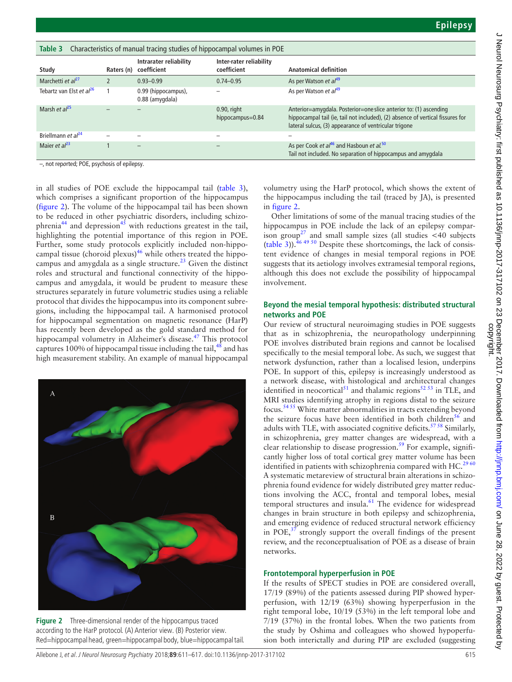<span id="page-4-0"></span>

| Characteristics of manual tracing studies of hippocampal volumes in POE<br>Table 3 |  |                                                  |                                        |                                                                                                                                                                                                              |  |  |  |  |
|------------------------------------------------------------------------------------|--|--------------------------------------------------|----------------------------------------|--------------------------------------------------------------------------------------------------------------------------------------------------------------------------------------------------------------|--|--|--|--|
| Study                                                                              |  | Intrarater reliability<br>Raters (n) coefficient | Inter-rater reliability<br>coefficient | <b>Anatomical definition</b>                                                                                                                                                                                 |  |  |  |  |
| Marchetti et $al^{27}$                                                             |  | $0.93 - 0.99$                                    | $0.74 - 0.95$                          | As per Watson et al <sup>49</sup>                                                                                                                                                                            |  |  |  |  |
| Tebartz van Elst et al <sup>26</sup>                                               |  | 0.99 (hippocampus),<br>0.88 (amygdala)           |                                        | As per Watson et al <sup>49</sup>                                                                                                                                                                            |  |  |  |  |
| Marsh et $al^{25}$                                                                 |  |                                                  | $0.90$ , right<br>hippocampus= $0.84$  | Anterior=amygdala. Posterior=one slice anterior to: (1) ascending<br>hippocampal tail (ie, tail not included), (2) absence of vertical fissures for<br>lateral sulcus, (3) appearance of ventricular trigone |  |  |  |  |
| Briellmann et $al^{24}$                                                            |  |                                                  |                                        |                                                                                                                                                                                                              |  |  |  |  |
| Maier et $al^{23}$                                                                 |  |                                                  |                                        | As per Cook et al <sup>46</sup> and Hasboun et al. <sup>50</sup><br>Tail not included. No separation of hippocampus and amygdala                                                                             |  |  |  |  |
| $-$ not reported: $DDE$ prichatic of epilepress                                    |  |                                                  |                                        |                                                                                                                                                                                                              |  |  |  |  |

–, not rep*o*rted; POE, psychosis of epilepsy.

in all studies of POE exclude the hippocampal tail [\(table](#page-4-0) 3), which comprises a significant proportion of the hippocampus ([figure](#page-4-1) 2). The volume of the hippocampal tail has been shown to be reduced in other psychiatric disorders, including schizo-phrenia<sup>[44](#page-6-21)</sup> and depression<sup>45</sup> with reductions greatest in the tail, highlighting the potential importance of this region in POE. Further, some study protocols explicitly included non-hippocampal tissue (choroid plexus) $46$  while others treated the hippo-campus and amygdala as a single structure.<sup>[23](#page-6-0)</sup> Given the distinct roles and structural and functional connectivity of the hippocampus and amygdala, it would be prudent to measure these structures separately in future volumetric studies using a reliable protocol that divides the hippocampus into its component subregions, including the hippocampal tail. A harmonised protocol for hippocampal segmentation on magnetic resonance (HarP) has recently been developed as the gold standard method for hippocampal volumetry in Alzheimer's disease.<sup>[47](#page-6-24)</sup> This protocol captures 100% of hippocampal tissue including the tail,<sup>[48](#page-6-25)</sup> and has high measurement stability. An example of manual hippocampal



<span id="page-4-1"></span>**Figure 2** Three-dimensional render of the hippocampus traced according to the HarP protocol. (A) Anterior view. (B) Posterior view. Red=hippocampal head, green=hippocampal body, blue=hippocampaltail. volumetry using the HarP protocol, which shows the extent of the hippocampus including the tail (traced by JA), is presented in [figure](#page-4-1) 2.

Other limitations of some of the manual tracing studies of the hippocampus in POE include the lack of an epilepsy compar-ison group<sup>[27](#page-6-4)</sup> and small sample sizes (all studies  $\lt$  40 subjects ([table](#page-4-0) 3)).<sup>[46 49 50](#page-6-23)</sup> Despite these shortcomings, the lack of consistent evidence of changes in mesial temporal regions in POE suggests that its aetiology involves extramesial temporal regions, although this does not exclude the possibility of hippocampal involvement.

# **Beyond the mesial temporal hypothesis: distributed structural networks and POE**

Our review of structural neuroimaging studies in POE suggests that as in schizophrenia, the neuropathology underpinning POE involves distributed brain regions and cannot be localised specifically to the mesial temporal lobe. As such, we suggest that network dysfunction, rather than a localised lesion, underpins POE. In support of this, epilepsy is increasingly understood as a network disease, with histological and architectural changes identified in neocortical<sup>51</sup> and thalamic regions<sup>52 53</sup> in TLE, and MRI studies identifying atrophy in regions distal to the seizure focus[.54 55](#page-6-28) White matter abnormalities in tracts extending beyond the seizure focus have been identified in both children $56$  and adults with TLE, with associated cognitive deficits. $57\frac{58}{15}$  Similarly, in schizophrenia, grey matter changes are widespread, with a clear relationship to disease progression.<sup>59</sup> For example, significantly higher loss of total cortical grey matter volume has been identified in patients with schizophrenia compared with HC.<sup>[29 60](#page-6-12)</sup> A systematic metareview of structural brain alterations in schizophrenia found evidence for widely distributed grey matter reductions involving the ACC, frontal and temporal lobes, mesial temporal structures and insula.<sup>[61](#page-6-32)</sup> The evidence for widespread changes in brain structure in both epilepsy and schizophrenia, and emerging evidence of reduced structural network efficiency in POE,<sup>37</sup> strongly support the overall findings of the present review, and the reconceptualisation of POE as a disease of brain networks.

### **Frontotemporal hyperperfusion in POE**

If the results of SPECT studies in POE are considered overall, 17/19 (89%) of the patients assessed during PIP showed hyperperfusion, with 12/19 (63%) showing hyperperfusion in the right temporal lobe, 10/19 (53%) in the left temporal lobe and 7/19 (37%) in the frontal lobes. When the two patients from the study by Oshima and colleagues who showed hypoperfusion both interictally and during PIP are excluded (suggesting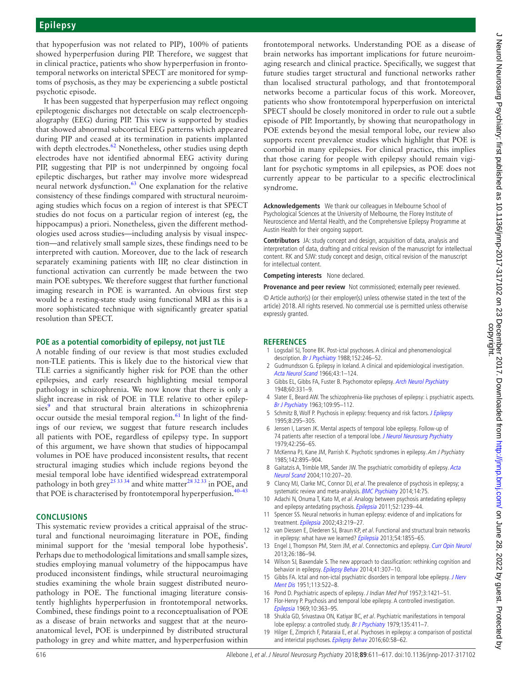that hypoperfusion was not related to PIP), 100% of patients showed hyperperfusion during PIP. Therefore, we suggest that in clinical practice, patients who show hyperperfusion in frontotemporal networks on interictal SPECT are monitored for symptoms of psychosis, as they may be experiencing a subtle postictal psychotic episode.

It has been suggested that hyperperfusion may reflect ongoing epileptogenic discharges not detectable on scalp electroencephalography (EEG) during PIP. This view is supported by studies that showed abnormal subcortical EEG patterns which appeared during PIP and ceased at its termination in patients implanted with depth electrodes.<sup>[62](#page-6-35)</sup> Nonetheless, other studies using depth electrodes have not identified abnormal EEG activity during PIP, suggesting that PIP is not underpinned by ongoing focal epileptic discharges, but rather may involve more widespread neural network dysfunction.[63](#page-6-36) One explanation for the relative consistency of these findings compared with structural neuroimaging studies which focus on a region of interest is that SPECT studies do not focus on a particular region of interest (eg, the hippocampus) a priori. Nonetheless, given the different methodologies used across studies—including analysis by visual inspection—and relatively small sample sizes, these findings need to be interpreted with caution. Moreover, due to the lack of research separately examining patients with IIP, no clear distinction in functional activation can currently be made between the two main POE subtypes. We therefore suggest that further functional imaging research in POE is warranted. An obvious first step would be a resting-state study using functional MRI as this is a more sophisticated technique with significantly greater spatial resolution than SPECT.

# **POE as a potential comorbidity of epilepsy, not just TLE**

A notable finding of our review is that most studies excluded non-TLE patients. This is likely due to the historical view that TLE carries a significantly higher risk for POE than the other epilepsies, and early research highlighting mesial temporal pathology in schizophrenia. We now know that there is only a slight increase in risk of POE in TLE relative to other epilepsies<sup>9</sup> and that structural brain alterations in schizophrenia occur outside the mesial temporal region.<sup>[61](#page-6-32)</sup> In light of the findings of our review, we suggest that future research includes all patients with POE, regardless of epilepsy type. In support of this argument, we have shown that studies of hippocampal volumes in POE have produced inconsistent results, that recent structural imaging studies which include regions beyond the mesial temporal lobe have identified widespread extratemporal pathology in both grey<sup>25 33 34</sup> and white matter<sup>[28 32 33](#page-6-6)</sup> in POE, and that POE is characterised by frontotemporal hyperperfusion. $40-43$ 

# **Conclusions**

This systematic review provides a critical appraisal of the structural and functional neuroimaging literature in POE, finding minimal support for the 'mesial temporal lobe hypothesis'. Perhaps due to methodological limitations and small sample sizes, studies employing manual volumetry of the hippocampus have produced inconsistent findings, while structural neuroimaging studies examining the whole brain suggest distributed neuropathology in POE. The functional imaging literature consistently highlights hyperperfusion in frontotemporal networks. Combined, these findings point to a reconceptualisation of POE as a disease of brain networks and suggest that at the neuroanatomical level, POE is underpinned by distributed structural pathology in grey and white matter, and hyperperfusion within

frontotemporal networks. Understanding POE as a disease of brain networks has important implications for future neuroimaging research and clinical practice. Specifically, we suggest that future studies target structural and functional networks rather than localised structural pathology, and that frontotemporal networks become a particular focus of this work. Moreover, patients who show frontotemporal hyperperfusion on interictal SPECT should be closely monitored in order to rule out a subtle episode of PIP. Importantly, by showing that neuropathology in POE extends beyond the mesial temporal lobe, our review also supports recent prevalence studies which highlight that POE is comorbid in many epilepsies. For clinical practice, this implies that those caring for people with epilepsy should remain vigilant for psychotic symptoms in all epilepsies, as POE does not currently appear to be particular to a specific electroclinical syndrome.

**Acknowledgements** We thank our colleagues in Melbourne School of Psychological Sciences at the University of Melbourne, the Florey Institute of Neuroscience and Mental Health, and the Comprehensive Epilepsy Programme at Austin Health for their ongoing support.

**Contributors** JA: study concept and design, acquisition of data, analysis and interpretation of data, drafting and critical revision of the manuscript for intellectual content. RK and SJW: study concept and design, critical revision of the manuscript for intellectual content.

**Competing interests** None declared.

**Provenance and peer review** Not commissioned; externally peer reviewed.

© Article author(s) (or their employer(s) unless otherwise stated in the text of the article) 2018. All rights reserved. No commercial use is permitted unless otherwise expressly granted.

# **References**

- <span id="page-5-0"></span>1 Logsdail SJ, Toone BK. Post-ictal psychoses. A clinical and phenomenological description. [Br J Psychiatry](http://dx.doi.org/10.1192/bjp.152.2.246) 1988;152:246-52.
- <span id="page-5-1"></span>2 Gudmundsson G. Epilepsy in Iceland. A clinical and epidemiological investigation. [Acta Neurol Scand](http://www.ncbi.nlm.nih.gov/pubmed/4959675) 1966;43:1–124.
- 3 Gibbs EL, Gibbs FA, Fuster B. Psychomotor epilepsy. [Arch Neurol Psychiatry](http://dx.doi.org/10.1001/archneurpsyc.1948.02310040002001) 1948;60:331–9.
- <span id="page-5-8"></span>4 Slater E, Beard AW. The schizophrenia-like psychoses of epilepsy: i. psychiatric aspects. [Br J Psychiatry](http://dx.doi.org/10.1192/bjp.109.458.95) 1963;109:95–112.
- <span id="page-5-11"></span>5 Schmitz B, Wolf P. Psychosis in epilepsy: frequency and risk factors. [J Epilepsy](http://dx.doi.org/10.1016/0896-6974(95)00051-8) 1995;8:295–305.
- 6 Jensen I, Larsen JK. Mental aspects of temporal lobe epilepsy. Follow-up of 74 patients after resection of a temporal lobe. [J Neurol Neurosurg Psychiatry](http://dx.doi.org/10.1136/jnnp.42.3.256) 1979;42:256–65.
- 7 McKenna PJ, Kane JM, Parrish K. Psychotic syndromes in epilepsy. Am J Psychiatry 1985;142:895–904.
- <span id="page-5-10"></span>8 Gaitatzis A, Trimble MR, Sander JW. The psychiatric comorbidity of epilepsy. Acta [Neurol Scand](http://dx.doi.org/10.1111/j.1600-0404.2004.00324.x) 2004;110:207–20.
- <span id="page-5-2"></span>9 Clancy MJ, Clarke MC, Connor DJ, et al. The prevalence of psychosis in epilepsy; a systematic review and meta-analysis. [BMC Psychiatry](http://dx.doi.org/10.1186/1471-244X-14-75) 2014;14:75.
- <span id="page-5-3"></span>10 Adachi N, Onuma T, Kato M, et al. Analogy between psychosis antedating epilepsy and epilepsy antedating psychosis. [Epilepsia](http://dx.doi.org/10.1111/j.1528-1167.2011.03039.x) 2011;52:1239-44.
- <span id="page-5-4"></span>11 Spencer SS. Neural networks in human epilepsy: evidence of and implications for treatment. [Epilepsia](http://dx.doi.org/10.1046/j.1528-1157.2002.26901.x) 2002;43:219–27.
- 12 van Diessen E, Diederen SJ, Braun KP, et al. Functional and structural brain networks in epilepsy: what have we learned? [Epilepsia](http://dx.doi.org/10.1111/epi.12350) 2013;54:1855-65.
- 13 Engel J, Thompson PM, Stern JM, et al. Connectomics and epilepsy. [Curr Opin Neurol](http://dx.doi.org/10.1097/WCO.0b013e32835ee5b8) 2013;26:186–94.
- <span id="page-5-5"></span>14 Wilson SJ, Baxendale S. The new approach to classification: rethinking cognition and behavior in epilepsy. [Epilepsy Behav](http://dx.doi.org/10.1016/j.yebeh.2014.09.011) 2014;41:307-10.
- <span id="page-5-6"></span>15 Gibbs FA. Ictal and non-ictal psychiatric disorders in temporal lobe epilepsy. J Nerv [Ment Dis](http://www.ncbi.nlm.nih.gov/pubmed/14841528) 1951;113:522–8.
- <span id="page-5-7"></span>16 Pond D. Psychiatric aspects of epilepsy. J Indian Med Prof 1957;3:1421–51.
- <span id="page-5-9"></span>17 Flor-Henry P. Psychosis and temporal lobe epilepsy. A controlled investigation. [Epilepsia](http://dx.doi.org/10.1111/j.1528-1157.1969.tb03853.x) 1969;10:363–95.
- 18 Shukla GD, Srivastava ON, Katiyar BC, et al. Psychiatric manifestations in temporal lobe epilepsy: a controlled study. [Br J Psychiatry](http://dx.doi.org/10.1192/bjp.135.5.411) 1979;135:411-7.
- 19 Hilger E, Zimprich F, Pataraia E, et al. Psychoses in epilepsy: a comparison of postictal and interictal psychoses. [Epilepsy Behav](http://dx.doi.org/10.1016/j.yebeh.2016.04.005) 2016;60:58-62.